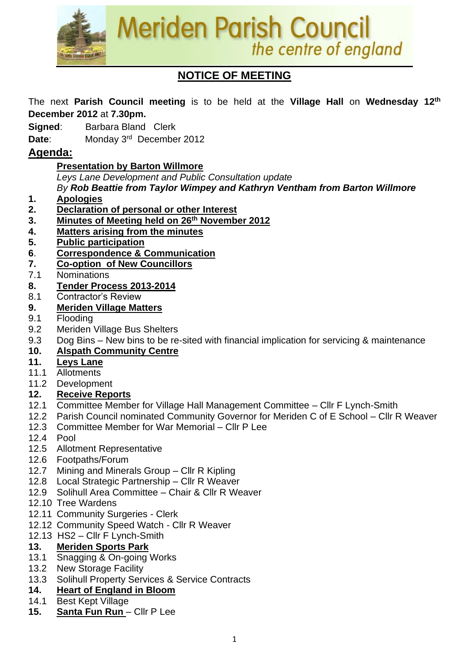

# **NOTICE OF MEETING**

The next **Parish Council meeting** is to be held at the **Village Hall** on **Wednesday 12th December 2012** at **7.30pm.**

**Signed:** Barbara Bland Clerk

Date: Monday 3<sup>rd</sup> December 2012

## **Agenda:**

## **Presentation by Barton Willmore**

*Leys Lane Development and Public Consultation update*

*By Rob Beattie from Taylor Wimpey and Kathryn Ventham from Barton Willmore*

- **1. Apologies**
- **2. Declaration of personal or other Interest**
- **3. Minutes of Meeting held on 26 th November 2012**
- **4. Matters arising from the minutes**
- **5. Public participation**
- **6**. **Correspondence & Communication**
- **7. Co-option of New Councillors**
- 7.1 Nominations
- **8. Tender Process 2013-2014**
- 8.1 Contractor's Review

## **9. Meriden Village Matters**

- 9.1 Flooding
- 9.2 Meriden Village Bus Shelters
- 9.3 Dog Bins New bins to be re-sited with financial implication for servicing & maintenance

## **10. Alspath Community Centre**

## **11. Leys Lane**

- 11.1 Allotments
- 11.2 Development

## **12. Receive Reports**

- 12.1 Committee Member for Village Hall Management Committee Cllr F Lynch-Smith
- 12.2 Parish Council nominated Community Governor for Meriden C of E School Cllr R Weaver
- 12.3 Committee Member for War Memorial Cllr P Lee
- 12.4 Pool
- 12.5 Allotment Representative
- 12.6 Footpaths/Forum
- 12.7 Mining and Minerals Group Cllr R Kipling
- 12.8 Local Strategic Partnership Cllr R Weaver
- 12.9 Solihull Area Committee Chair & Cllr R Weaver
- 12.10 Tree Wardens
- 12.11 Community Surgeries Clerk
- 12.12 Community Speed Watch Cllr R Weaver
- 12.13 HS2 Cllr F Lynch-Smith

## **13. Meriden Sports Park**

- 13.1 Snagging & On-going Works
- 13.2 New Storage Facility
- 13.3 Solihull Property Services & Service Contracts

#### **14. Heart of England in Bloom**

- 14.1 Best Kept Village
- **15. Santa Fun Run** Cllr P Lee